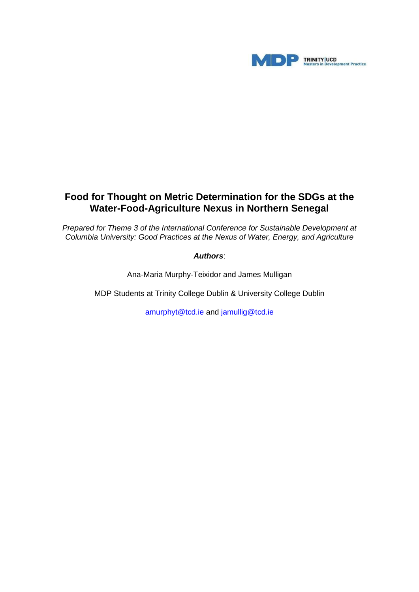

# **Food for Thought on Metric Determination for the SDGs at the Water-Food-Agriculture Nexus in Northern Senegal**

*Prepared for Theme 3 of the International Conference for Sustainable Development at Columbia University: Good Practices at the Nexus of Water, Energy, and Agriculture*

### *Authors*:

Ana-Maria Murphy-Teixidor and James Mulligan

MDP Students at Trinity College Dublin & University College Dublin

[amurphyt@tcd.ie](mailto:amurphyt@tcd.ie) and [jamullig@tcd.ie](mailto:jamullig@tcd.ie)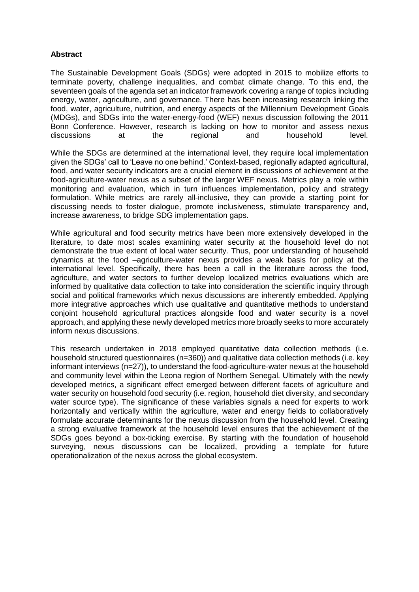### **Abstract**

The Sustainable Development Goals (SDGs) were adopted in 2015 to mobilize efforts to terminate poverty, challenge inequalities, and combat climate change. To this end, the seventeen goals of the agenda set an indicator framework covering a range of topics including energy, water, agriculture, and governance. There has been increasing research linking the food, water, agriculture, nutrition, and energy aspects of the Millennium Development Goals (MDGs), and SDGs into the water-energy-food (WEF) nexus discussion following the 2011 Bonn Conference. However, research is lacking on how to monitor and assess nexus discussions at the regional and household level.

While the SDGs are determined at the international level, they require local implementation given the SDGs' call to 'Leave no one behind.' Context-based, regionally adapted agricultural, food, and water security indicators are a crucial element in discussions of achievement at the food-agriculture-water nexus as a subset of the larger WEF nexus. Metrics play a role within monitoring and evaluation, which in turn influences implementation, policy and strategy formulation. While metrics are rarely all-inclusive, they can provide a starting point for discussing needs to foster dialogue, promote inclusiveness, stimulate transparency and, increase awareness, to bridge SDG implementation gaps.

While agricultural and food security metrics have been more extensively developed in the literature, to date most scales examining water security at the household level do not demonstrate the true extent of local water security. Thus, poor understanding of household dynamics at the food –agriculture-water nexus provides a weak basis for policy at the international level. Specifically, there has been a call in the literature across the food, agriculture, and water sectors to further develop localized metrics evaluations which are informed by qualitative data collection to take into consideration the scientific inquiry through social and political frameworks which nexus discussions are inherently embedded. Applying more integrative approaches which use qualitative and quantitative methods to understand conjoint household agricultural practices alongside food and water security is a novel approach, and applying these newly developed metrics more broadly seeks to more accurately inform nexus discussions.

This research undertaken in 2018 employed quantitative data collection methods (i.e. household structured questionnaires (n=360)) and qualitative data collection methods (i.e. key informant interviews (n=27)), to understand the food-agriculture-water nexus at the household and community level within the Leona region of Northern Senegal. Ultimately with the newly developed metrics, a significant effect emerged between different facets of agriculture and water security on household food security (i.e. region, household diet diversity, and secondary water source type). The significance of these variables signals a need for experts to work horizontally and vertically within the agriculture, water and energy fields to collaboratively formulate accurate determinants for the nexus discussion from the household level. Creating a strong evaluative framework at the household level ensures that the achievement of the SDGs goes beyond a box-ticking exercise. By starting with the foundation of household surveying, nexus discussions can be localized, providing a template for future operationalization of the nexus across the global ecosystem.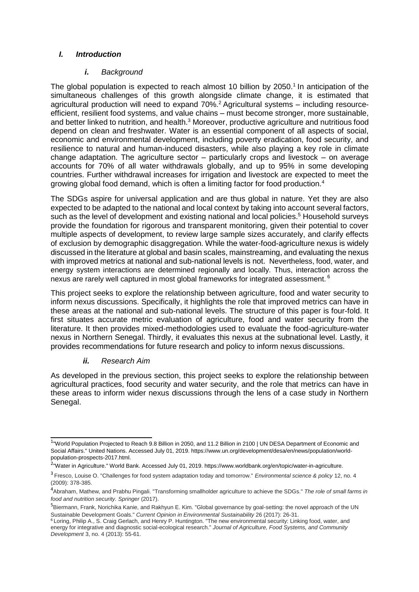### *I. Introduction*

### *i. Background*

The global population is expected to reach almost 10 billion by  $2050<sup>1</sup>$  In anticipation of the simultaneous challenges of this growth alongside climate change, it is estimated that agricultural production will need to expand  $70\%$ <sup>2</sup> Agricultural systems – including resourceefficient, resilient food systems, and value chains – must become stronger, more sustainable, and better linked to nutrition, and health.<sup>3</sup> Moreover, productive agriculture and nutritious food depend on clean and freshwater. Water is an essential component of all aspects of social, economic and environmental development, including poverty eradication, food security, and resilience to natural and human-induced disasters, while also playing a key role in climate change adaptation. The agriculture sector – particularly crops and livestock – on average accounts for 70% of all water withdrawals globally, and up to 95% in some developing countries. Further withdrawal increases for irrigation and livestock are expected to meet the growing global food demand, which is often a limiting factor for food production.<sup>4</sup>

The SDGs aspire for universal application and are thus global in nature. Yet they are also expected to be adapted to the national and local context by taking into account several factors, such as the level of development and existing national and local policies.<sup>5</sup> Household surveys provide the foundation for rigorous and transparent monitoring, given their potential to cover multiple aspects of development, to review large sample sizes accurately, and clarify effects of exclusion by demographic disaggregation. While the water-food-agriculture nexus is widely discussed in the literature at global and basin scales, mainstreaming, and evaluating the nexus with improved metrics at national and sub-national levels is not. Nevertheless, food, water, and energy system interactions are determined regionally and locally. Thus, interaction across the nexus are rarely well captured in most global frameworks for integrated assessment. <sup>6</sup>

This project seeks to explore the relationship between agriculture, food and water security to inform nexus discussions. Specifically, it highlights the role that improved metrics can have in these areas at the national and sub-national levels. The structure of this paper is four-fold. It first situates accurate metric evaluation of agriculture, food and water security from the literature. It then provides mixed-methodologies used to evaluate the food-agriculture-water nexus in Northern Senegal. Thirdly, it evaluates this nexus at the subnational level. Lastly, it provides recommendations for future research and policy to inform nexus discussions.

# *ii. Research Aim*

As developed in the previous section, this project seeks to explore the relationship between agricultural practices, food security and water security, and the role that metrics can have in these areas to inform wider nexus discussions through the lens of a case study in Northern Senegal.

<sup>&</sup>lt;sup>1</sup>"World Population Projected to Reach 9.8 Billion in 2050, and 11.2 Billion in 2100 | UN DESA Department of Economic and Social Affairs." United Nations. Accessed July 01, 2019. https:/[/www.un.org/development/desa/en/news/population/world](http://www.un.org/development/desa/en/news/population/world-)population-prospects-2017.html.

<sup>&</sup>lt;sup>2</sup>"Water in Agriculture." World Bank. Accessed July 01, 2019. https:[//www.worldbank.org/en/topic/water-in-agriculture.](http://www.worldbank.org/en/topic/water-in-agriculture)

<sup>3</sup>Fresco, Louise O. "Challenges for food system adaptation today and tomorrow." *Environmental science & policy* 12, no. 4 (2009): 378-385.

<sup>4</sup>Abraham, Mathew, and Prabhu Pingali. "Transforming smallholder agriculture to achieve the SDGs." *The role of small farms in food and nutrition security. Springer* (2017).

<sup>&</sup>lt;sup>5</sup>Biermann, Frank, Norichika Kanie, and Rakhyun E. Kim. "Global governance by goal-setting: the novel approach of the UN Sustainable Development Goals." *Current Opinion in Environmental Sustainability* 26 (2017): 26-31.

<sup>6</sup>Loring, Philip A., S. Craig Gerlach, and Henry P. Huntington. "The new environmental security: Linking food, water, and energy for integrative and diagnostic social-ecological research." *Journal of Agriculture, Food Systems, and Community Development* 3, no. 4 (2013): 55-61.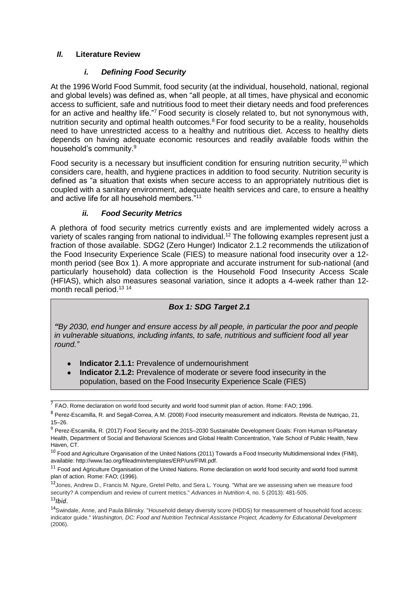# *II.* **Literature Review**

## *i. Defining Food Security*

At the 1996 World Food Summit, food security (at the individual, household, national, regional and global levels) was defined as, when "all people, at all times, have physical and economic access to sufficient, safe and nutritious food to meet their dietary needs and food preferences for an active and healthy life."<sup>7</sup> Food security is closely related to, but not synonymous with, nutrition security and optimal health outcomes.<sup>8</sup> For food security to be a reality, households need to have unrestricted access to a healthy and nutritious diet. Access to healthy diets depends on having adequate economic resources and readily available foods within the household's community.<sup>9</sup>

Food security is a necessary but insufficient condition for ensuring nutrition security,<sup>10</sup> which considers care, health, and hygiene practices in addition to food security. Nutrition security is defined as "a situation that exists when secure access to an appropriately nutritious diet is coupled with a sanitary environment, adequate health services and care, to ensure a healthy and active life for all household members."<sup>11</sup>

### *ii. Food Security Metrics*

A plethora of food security metrics currently exists and are implemented widely across a variety of scales ranging from national to individual.<sup>12</sup> The following examples represent just a fraction of those available. SDG2 (Zero Hunger) Indicator 2.1.2 recommends the utilization of the Food Insecurity Experience Scale (FIES) to measure national food insecurity over a 12 month period (see Box 1). A more appropriate and accurate instrument for sub-national (and particularly household) data collection is the Household Food Insecurity Access Scale (HFIAS), which also measures seasonal variation, since it adopts a 4-week rather than 12 month recall period.<sup>13 14</sup>

# *Box 1: SDG Target 2.1*

*"By 2030, end hunger and ensure access by all people, in particular the poor and people in vulnerable situations, including infants, to safe, nutritious and sufficient food all year round."*

- **Indicator 2.1.1:** Prevalence of undernourishment
- **Indicator 2.1.2:** Prevalence of moderate or severe food insecurity in the population, based on the Food Insecurity Experience Scale (FIES)

 $<sup>7</sup>$  FAO. Rome declaration on world food security and world food summit plan of action. Rome: FAO; 1996.</sup>

<sup>8</sup> Perez-Escamilla, R. and Segall-Correa, A.M. (2008) Food insecurity measurement and indicators. Revista de Nutriçao, 21, 15–26.

<sup>&</sup>lt;sup>9</sup> Perez-Escamilla, R. (2017) Food Security and the 2015–2030 Sustainable Development Goals: From Human to Planetary Health, Department of Social and Behavioral Sciences and Global Health Concentration, Yale School of Public Health, New Haven, CT.

 $10$  Food and Agriculture Organisation of the United Nations (2011) Towards a Food Insecurity Multidimensional Index (FIMI), available: [http://www.fao.org/fileadmin/templates/ERP/uni/FIMI.pdf.](http://www.fao.org/fileadmin/templates/ERP/uni/FIMI.pdf)

 $11$  Food and Agriculture Organisation of the United Nations. Rome declaration on world food security and world food summit plan of action. Rome: FAO; (1996).

<sup>12</sup>Jones, Andrew D., Francis M. Ngure, Gretel Pelto, and Sera L. Young. "What are we assessing when we measure food security? A compendium and review of current metrics." *Advances in Nutrition* 4, no. 5 (2013): 481-505. <sup>13</sup>*Ibid*.

<sup>14</sup>Swindale, Anne, and Paula Bilinsky. "Household dietary diversity score (HDDS) for measurement of household food access: indicator guide." *Washington, DC: Food and Nutrition Technical Assistance Project, Academy for Educational Development*  (2006).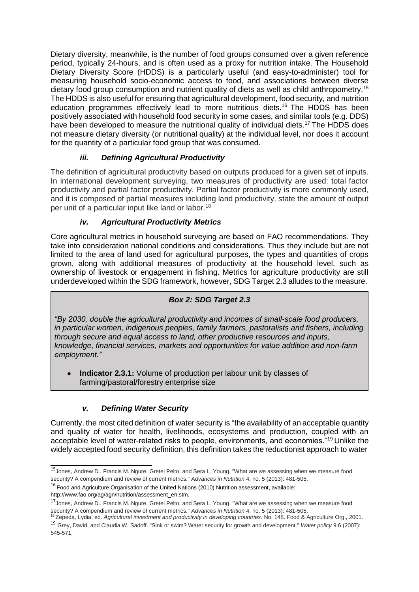Dietary diversity, meanwhile, is the number of food groups consumed over a given reference period, typically 24-hours, and is often used as a proxy for nutrition intake. The Household Dietary Diversity Score (HDDS) is a particularly useful (and easy-to-administer) tool for measuring household socio-economic access to food, and associations between diverse dietary food group consumption and nutrient quality of diets as well as child anthropometry.<sup>15</sup> The HDDS is also useful for ensuring that agricultural development, food security, and nutrition education programmes effectively lead to more nutritious diets.<sup>16</sup> The HDDS has been positively associated with household food security in some cases, and similar tools (e.g. DDS) have been developed to measure the nutritional quality of individual diets.<sup>17</sup> The HDDS does not measure dietary diversity (or nutritional quality) at the individual level, nor does it account for the quantity of a particular food group that was consumed.

# *iii. Defining Agricultural Productivity*

The definition of agricultural productivity based on outputs produced for a given set of inputs. In international development surveying, two measures of productivity are used: total factor productivity and partial factor productivity. Partial factor productivity is more commonly used, and it is composed of partial measures including land productivity, state the amount of output per unit of a particular input like land or labor.<sup>18</sup>

# *iv. Agricultural Productivity Metrics*

Core agricultural metrics in household surveying are based on FAO recommendations. They take into consideration national conditions and considerations. Thus they include but are not limited to the area of land used for agricultural purposes, the types and quantities of crops grown, along with additional measures of productivity at the household level, such as ownership of livestock or engagement in fishing. Metrics for agriculture productivity are still underdeveloped within the SDG framework, however, SDG Target 2.3 alludes to the measure.

# *Box 2: SDG Target 2.3*

*"By 2030, double the agricultural productivity and incomes of small-scale food producers, in particular women, indigenous peoples, family farmers, pastoralists and fishers, including through secure and equal access to land, other productive resources and inputs, knowledge, financial services, markets and opportunities for value addition and non-farm employment."*

**Indicator 2.3.1:** Volume of production per labour unit by classes of farming/pastoral/forestry enterprise size

# *v. Defining Water Security*

Currently, the most cited definition of water security is "the availability of an acceptable quantity and quality of water for health, livelihoods, ecosystems and production, coupled with an acceptable level of water-related risks to people, environments, and economies."<sup>19</sup> Unlike the widely accepted food security definition, this definition takes the reductionist approach to water

<sup>15</sup>Jones, Andrew D., Francis M. Ngure, Gretel Pelto, and Sera L. Young. "What are we assessing when we measure food security? A compendium and review of current metrics." *Advances in Nutrition* 4, no. 5 (2013): 481-505.

<sup>&</sup>lt;sup>16</sup> Food and Agriculture Organisation of the United Nations (2010) Nutrition assessment, available[:](http://www.fao.org/ag/agn/nutrition/assessment_en.stm)

[http://www.fao.org/ag/agn/nutrition/assessment\\_en.stm.](http://www.fao.org/ag/agn/nutrition/assessment_en.stm)

<sup>&</sup>lt;sup>17</sup> Jones, Andrew D., Francis M. Ngure, Gretel Pelto, and Sera L. Young. "What are we assessing when we measure food security? A compendium and review of current metrics." *Advances in Nutrition* 4, no. 5 (2013): 481-505.

<sup>18</sup>Zepeda, Lydia, ed. *Agricultural investment and productivity in developing countries*. No. 148. Food & Agriculture Org., 2001. <sup>19</sup> Grey, David, and Claudia W. Sadoff. "Sink or swim? Water security for growth and development." *Water policy* 9.6 (2007): 545-571.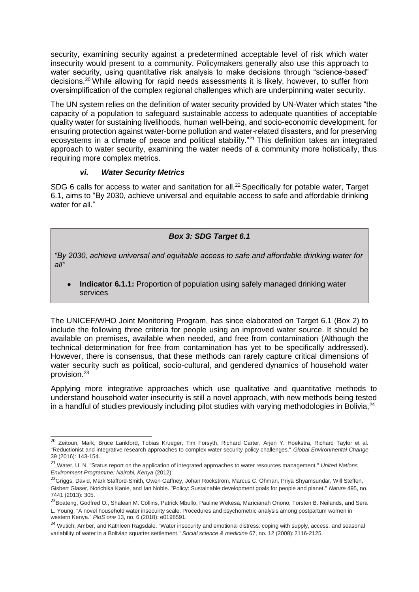security, examining security against a predetermined acceptable level of risk which water insecurity would present to a community. Policymakers generally also use this approach to water security, using quantitative risk analysis to make decisions through "science-based" decisions.<sup>20</sup>While allowing for rapid needs assessments it is likely, however, to suffer from oversimplification of the complex regional challenges which are underpinning water security.

The UN system relies on the definition of water security provided by UN-Water which states "the capacity of a population to safeguard sustainable access to adequate quantities of acceptable quality water for sustaining livelihoods, human well-being, and socio-economic development, for ensuring protection against water-borne pollution and water-related disasters, and for preserving ecosystems in a climate of peace and political stability."<sup>21</sup> This definition takes an integrated approach to water security, examining the water needs of a community more holistically, thus requiring more complex metrics.

### *vi. Water Security Metrics*

SDG 6 calls for access to water and sanitation for all.<sup>22</sup> Specifically for potable water, Target 6.1, aims to "By 2030, achieve universal and equitable access to safe and affordable drinking water for all."

# *Box 3: SDG Target 6.1*

*"By 2030, achieve universal and equitable access to safe and affordable drinking water for all"*

**Indicator 6.1.1:** Proportion of population using safely managed drinking water services

The UNICEF/WHO Joint Monitoring Program, has since elaborated on Target 6.1 (Box 2) to include the following three criteria for people using an improved water source. It should be available on premises, available when needed, and free from contamination (Although the technical determination for free from contamination has yet to be specifically addressed). However, there is consensus, that these methods can rarely capture critical dimensions of water security such as political, socio-cultural, and gendered dynamics of household water provision.<sup>23</sup>

Applying more integrative approaches which use qualitative and quantitative methods to understand household water insecurity is still a novel approach, with new methods being tested in a handful of studies previously including pilot studies with varying methodologies in Bolivia, $^{24}$ 

<sup>&</sup>lt;sup>20</sup> Zeitoun, Mark, Bruce Lankford, Tobias Krueger, Tim Forsyth, Richard Carter, Arjen Y. Hoekstra, Richard Taylor et al. "Reductionist and integrative research approaches to complex water security policy challenges." *Global Environmental Change*  39 (2016): 143-154.

<sup>21</sup> Water, U. N. "Status report on the application of integrated approaches to water resources management." *United Nations Environment Programme: Nairobi, Kenya* (2012).

<sup>&</sup>lt;sup>22</sup>Griggs, David, Mark Stafford-Smith, Owen Gaffney, Johan Rockström, Marcus C. Öhman, Priya Shyamsundar, Will Steffen, Gisbert Glaser, Norichika Kanie, and Ian Noble. "Policy: Sustainable development goals for people and planet." *Nature* 495, no. 7441 (2013): 305.

<sup>&</sup>lt;sup>23</sup>Boateng, Godfred O., Shalean M. Collins, Patrick Mbullo, Pauline Wekesa, Maricianah Onono, Torsten B. Neilands, and Sera L. Young. "A novel household water insecurity scale: Procedures and psychometric analysis among postpartum women in western Kenya." *PloS one* 13, no. 6 (2018): e0198591.

<sup>&</sup>lt;sup>24</sup> Wutich, Amber, and Kathleen Ragsdale. "Water insecurity and emotional distress: coping with supply, access, and seasonal variability of water in a Bolivian squatter settlement." *Social science & medicine* 67, no. 12 (2008): 2116-2125.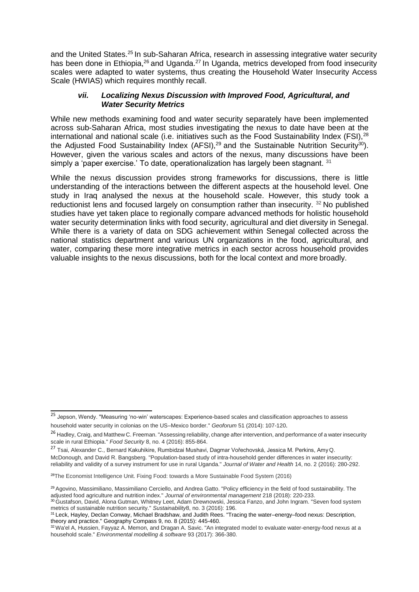and the United States.<sup>25</sup> In sub-Saharan Africa, research in assessing integrative water security has been done in Ethiopia,<sup>26</sup> and Uganda.<sup>27</sup> In Uganda, metrics developed from food insecurity scales were adapted to water systems, thus creating the Household Water Insecurity Access Scale (HWIAS) which requires monthly recall.

### *vii. Localizing Nexus Discussion with Improved Food, Agricultural, and Water Security Metrics*

While new methods examining food and water security separately have been implemented across sub-Saharan Africa, most studies investigating the nexus to date have been at the international and national scale (i.e. initiatives such as the Food Sustainability Index (FSI), $^{28}$ the Adjusted Food Sustainability Index (AFSI),<sup>29</sup> and the Sustainable Nutrition Security<sup>30</sup>). However, given the various scales and actors of the nexus, many discussions have been simply a 'paper exercise.' To date, operationalization has largely been stagnant.  $31$ 

While the nexus discussion provides strong frameworks for discussions, there is little understanding of the interactions between the different aspects at the household level. One study in Iraq analysed the nexus at the household scale. However, this study took a reductionist lens and focused largely on consumption rather than insecurity. <sup>32</sup> No published studies have yet taken place to regionally compare advanced methods for holistic household water security determination links with food security, agricultural and diet diversity in Senegal. While there is a variety of data on SDG achievement within Senegal collected across the national statistics department and various UN organizations in the food, agricultural, and water, comparing these more integrative metrics in each sector across household provides valuable insights to the nexus discussions, both for the local context and more broadly.

<sup>&</sup>lt;sup>25</sup> Jepson, Wendy. "Measuring 'no-win' waterscapes: Experience-based scales and classification approaches to assess household water security in colonias on the US–Mexico border." *Geoforum* 51 (2014): 107-120.

<sup>&</sup>lt;sup>26</sup> Hadley, Craig, and Matthew C. Freeman. "Assessing reliability, change after intervention, and performance of a water insecurity scale in rural Ethiopia." *Food Security* 8, no. 4 (2016): 855-864.

<sup>27</sup> Tsai, Alexander C., Bernard Kakuhikire, Rumbidzai Mushavi, Dagmar Vořechovská, Jessica M. Perkins, AmyQ. McDonough, and David R. Bangsberg. "Population-based study of intra-household gender differences in water insecurity: reliability and validity of a survey instrument for use in rural Uganda." *Journal of Water and Health* 14, no. 2 (2016): 280-292.

<sup>&</sup>lt;sup>28</sup>The Economist Intelligence Unit. Fixing Food: towards a More Sustainable Food System (2016)

<sup>&</sup>lt;sup>29</sup> Agovino, Massimiliano, Massimiliano Cerciello, and Andrea Gatto. "Policy efficiency in the field of food sustainability. The adjusted food agriculture and nutrition index." *Journal of environmental management* 218 (2018): 220-233.

<sup>&</sup>lt;sup>30</sup> Gustafson, David, Alona Gutman, Whitney Leet, Adam Drewnowski, Jessica Fanzo, and John Ingram. "Seven food system metrics of sustainable nutrition security." *Sustainability*8, no. 3 (2016): 196.

<sup>31</sup>Leck, Hayley, Declan Conway, Michael Bradshaw, and Judith Rees. "Tracing the water–energy–food nexus: Description, theory and practice." Geography Compass 9, no. 8 (2015): 445-460.

<sup>32</sup>Wa'el A, Hussien, Fayyaz A. Memon, and Dragan A. Savic. "An integrated model to evaluate water-energy-food nexus at a household scale." *Environmental modelling & software* 93 (2017): 366-380.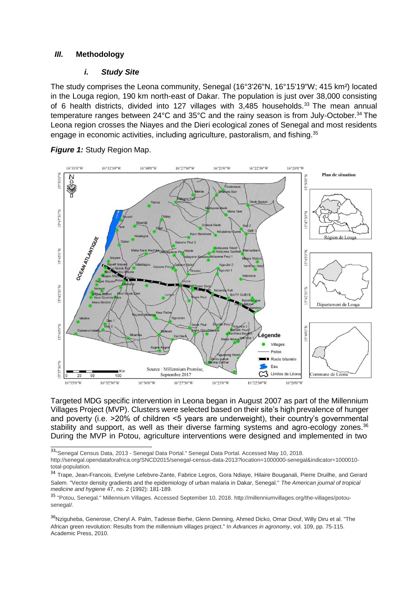#### *III.* **Methodology**

#### *i. Study Site*

The study comprises the Leona community, Senegal (16°3'26"N, 16°15'19"W; 415 km²) located in the Louga region, 190 km north-east of Dakar. The population is just over 38,000 consisting of 6 health districts, divided into 127 villages with  $3,485$  households.<sup>33</sup> The mean annual temperature ranges between 24°C and 35°C and the rainy season is from July-October.<sup>34</sup>The Leona region crosses the Niayes and the Dieri ecological zones of Senegal and most residents engage in economic activities, including agriculture, pastoralism, and fishing.<sup>35</sup>



**Figure 1: Study Region Map.** 

Targeted MDG specific intervention in Leona began in August 2007 as part of the Millennium Villages Project (MVP). Clusters were selected based on their site's high prevalence of hunger and poverty (i.e. >20% of children <5 years are underweight), their country's governmental stability and support, as well as their diverse farming systems and agro-ecology zones.<sup>36</sup> During the MVP in Potou, agriculture interventions were designed and implemented in two

33"Senegal Census Data, 2013 - Senegal Data Portal." Senegal Data Portal. Accessed May 10, 2018. <http://senegal.opendataforafrica.org/SNCD2015/senegal-census-data-2013?location=1000000-senegal&indicator=1000010->

<sup>36</sup>Nziguheba, Generose, Cheryl A. Palm, Tadesse Berhe, Glenn Denning, Ahmed Dicko, Omar Diouf, Willy Diru et al. "The African green revolution: Results from the millennium villages project." In *Advances in agronomy*, vol. 109, pp. 75-115. Academic Press, 2010.

total-population.

<sup>&</sup>lt;sup>34</sup> Trape, Jean-Francois, Evelyne Lefebvre-Zante, Fabrice Legros, Gora Ndiaye, Hilaire Bouganali, Pierre Druilhe, and Gerard Salem. "Vector density gradients and the epidemiology of urban malaria in Dakar, Senegal." *The American journal of tropical medicine and hygiene* 47, no. 2 (1992): 181-189.

<sup>35</sup> "Potou, Senegal." Millennium Villages. Accessed September 10, 2018. [http://millenniumvillages.org/the-villages/potou](http://millenniumvillages.org/the-villages/potou-)senegal/.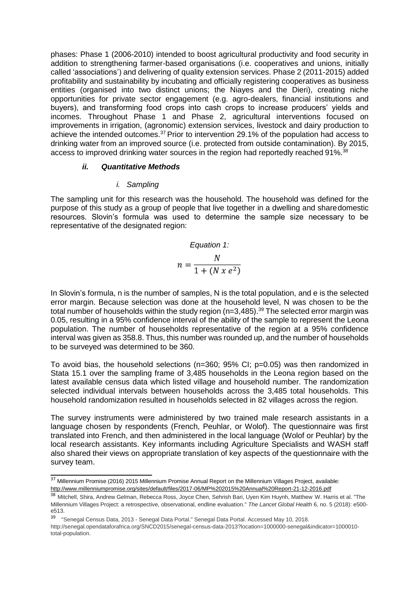phases: Phase 1 (2006-2010) intended to boost agricultural productivity and food security in addition to strengthening farmer-based organisations (i.e. cooperatives and unions, initially called 'associations') and delivering of quality extension services. Phase 2 (2011-2015) added profitability and sustainability by incubating and officially registering cooperatives as business entities (organised into two distinct unions; the Niayes and the Dieri), creating niche opportunities for private sector engagement (e.g. agro-dealers, financial institutions and buyers), and transforming food crops into cash crops to increase producers' yields and incomes. Throughout Phase 1 and Phase 2, agricultural interventions focused on improvements in irrigation, (agronomic) extension services, livestock and dairy production to achieve the intended outcomes.<sup>37</sup> Prior to intervention 29.1% of the population had access to drinking water from an improved source (i.e. protected from outside contamination). By 2015, access to improved drinking water sources in the region had reportedly reached 91%.<sup>38</sup>

### *ii. Quantitative Methods*

### *i. Sampling*

The sampling unit for this research was the household. The household was defined for the purpose of this study as a group of people that live together in a dwelling and sharedomestic resources. Slovin's formula was used to determine the sample size necessary to be representative of the designated region:

Equation 1:  

$$
n = \frac{N}{1 + (N \times e^2)}
$$

In Slovin's formula, n is the number of samples, N is the total population, and e is the selected error margin. Because selection was done at the household level, N was chosen to be the total number of households within the study region ( $n=3,485$ ).<sup>39</sup> The selected error margin was 0.05, resulting in a 95% confidence interval of the ability of the sample to represent the Leona population. The number of households representative of the region at a 95% confidence interval was given as 358.8. Thus, this number was rounded up, and the number of households to be surveyed was determined to be 360.

To avoid bias, the household selections (n=360; 95% CI; p=0.05) was then randomized in Stata 15.1 over the sampling frame of 3,485 households in the Leona region based on the latest available census data which listed village and household number. The randomization selected individual intervals between households across the 3,485 total households. This household randomization resulted in households selected in 82 villages across the region.

The survey instruments were administered by two trained male research assistants in a language chosen by respondents (French, Peuhlar, or Wolof). The questionnaire was first translated into French, and then administered in the local language (Wolof or Peuhlar) by the local research assistants. Key informants including Agriculture Specialists and WASH staff also shared their views on appropriate translation of key aspects of the questionnaire with the survey team.

<sup>&</sup>lt;sup>37</sup> Millennium Promise (2016) 2015 Millennium Promise Annual Report on the Millennium Villages Project, availabl[e:](http://www.millenniumpromise.org/sites/default/files/2017-06/MP%202015%20Annual%20Report-21-12-2016.pdf) <http://www.millenniumpromise.org/sites/default/files/2017-06/MP%202015%20Annual%20Report-21-12-2016.pdf>

<sup>38</sup> Mitchell, Shira, Andrew Gelman, Rebecca Ross, Joyce Chen, Sehrish Bari, Uyen Kim Huynh, Matthew W. Harris et al. "The Millennium Villages Project: a retrospective, observational, endline evaluation." *The Lancet Global Health* 6, no. 5 (2018): e500 e513.

<sup>39</sup> "Senegal Census Data, 2013 - Senegal Data Portal." Senegal Data Portal. Accessed May 10, 2018[.](http://senegal.opendataforafrica.org/SNCD2015/senegal-census-data-2013?location=1000000-senegal&indicator=1000010-)

[http://senegal.opendataforafrica.org/SNCD2015/senegal-census-data-2013?location=1000000-senegal&indicator=1000010](http://senegal.opendataforafrica.org/SNCD2015/senegal-census-data-2013?location=1000000-senegal&indicator=1000010-) total-population.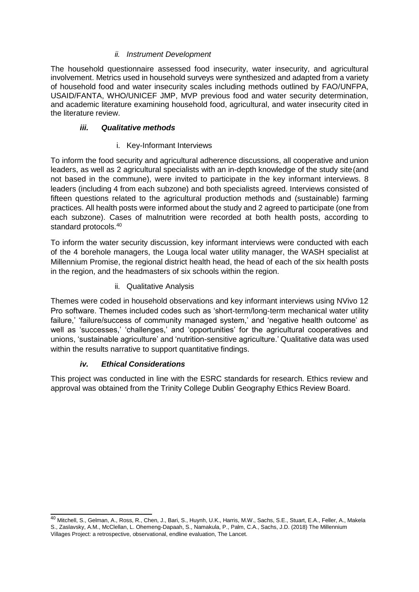## *ii. Instrument Development*

The household questionnaire assessed food insecurity, water insecurity, and agricultural involvement. Metrics used in household surveys were synthesized and adapted from a variety of household food and water insecurity scales including methods outlined by FAO/UNFPA, USAID/FANTA, WHO/UNICEF JMP, MVP previous food and water security determination, and academic literature examining household food, agricultural, and water insecurity cited in the literature review.

# *iii. Qualitative methods*

### i. Key-Informant Interviews

To inform the food security and agricultural adherence discussions, all cooperative and union leaders, as well as 2 agricultural specialists with an in-depth knowledge of the study site(and not based in the commune), were invited to participate in the key informant interviews. 8 leaders (including 4 from each subzone) and both specialists agreed. Interviews consisted of fifteen questions related to the agricultural production methods and (sustainable) farming practices. All health posts were informed about the study and 2 agreed to participate (one from each subzone). Cases of malnutrition were recorded at both health posts, according to standard protocols.<sup>40</sup>

To inform the water security discussion, key informant interviews were conducted with each of the 4 borehole managers, the Louga local water utility manager, the WASH specialist at Millennium Promise, the regional district health head, the head of each of the six health posts in the region, and the headmasters of six schools within the region.

### ii. Qualitative Analysis

Themes were coded in household observations and key informant interviews using NVivo 12 Pro software. Themes included codes such as 'short-term/long-term mechanical water utility failure,' 'failure/success of community managed system,' and 'negative health outcome' as well as 'successes,' 'challenges,' and 'opportunities' for the agricultural cooperatives and unions, 'sustainable agriculture' and 'nutrition-sensitive agriculture.' Qualitative data was used within the results narrative to support quantitative findings.

# *iv. Ethical Considerations*

This project was conducted in line with the ESRC standards for research. Ethics review and approval was obtained from the Trinity College Dublin Geography Ethics Review Board.

<sup>&</sup>lt;sup>40</sup> Mitchell, S., Gelman, A., Ross, R., Chen, J., Bari, S., Huynh, U.K., Harris, M.W., Sachs, S.E., Stuart, E.A., Feller, A., Makela S., Zaslavsky, A.M., McClellan, L. Ohemeng-Dapaah, S., Namakula, P., Palm, C.A., Sachs, J.D. (2018) The Millennium Villages Project: a retrospective, observational, endline evaluation, The Lancet.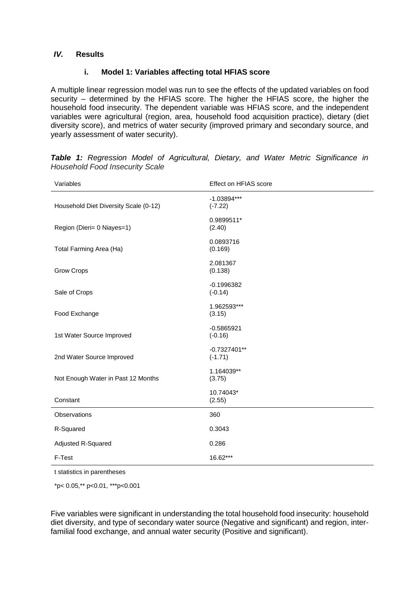#### *IV.* **Results**

### **i. Model 1: Variables affecting total HFIAS score**

A multiple linear regression model was run to see the effects of the updated variables on food security – determined by the HFIAS score. The higher the HFIAS score, the higher the household food insecurity. The dependent variable was HFIAS score, and the independent variables were agricultural (region, area, household food acquisition practice), dietary (diet diversity score), and metrics of water security (improved primary and secondary source, and yearly assessment of water security).

| Variables                             | Effect on HFIAS score       |
|---------------------------------------|-----------------------------|
| Household Diet Diversity Scale (0-12) | $-1.03894***$<br>$(-7.22)$  |
| Region (Dieri= 0 Niayes=1)            | 0.9899511*<br>(2.40)        |
| Total Farming Area (Ha)               | 0.0893716<br>(0.169)        |
| Grow Crops                            | 2.081367<br>(0.138)         |
| Sale of Crops                         | $-0.1996382$<br>$(-0.14)$   |
| Food Exchange                         | 1.962593***<br>(3.15)       |
| 1st Water Source Improved             | $-0.5865921$<br>$(-0.16)$   |
| 2nd Water Source Improved             | $-0.7327401**$<br>$(-1.71)$ |
| Not Enough Water in Past 12 Months    | 1.164039**<br>(3.75)        |
| Constant                              | 10.74043*<br>(2.55)         |
| Observations                          | 360                         |
| R-Squared                             | 0.3043                      |
| Adjusted R-Squared                    | 0.286                       |
| F-Test                                | 16.62***                    |

|  |                                        |  |  |  | <b>Table 1:</b> Regression Model of Agricultural, Dietary, and Water Metric Significance in |  |
|--|----------------------------------------|--|--|--|---------------------------------------------------------------------------------------------|--|
|  | <b>Household Food Insecurity Scale</b> |  |  |  |                                                                                             |  |

t statistics in parentheses

\*p< 0.05,\*\* p<0.01, \*\*\*p<0.001

Five variables were significant in understanding the total household food insecurity: household diet diversity, and type of secondary water source (Negative and significant) and region, interfamilial food exchange, and annual water security (Positive and significant).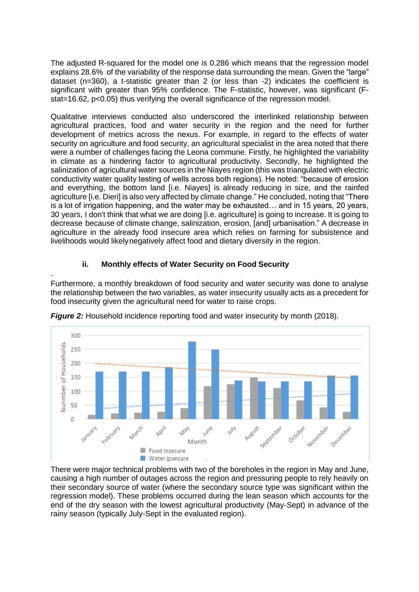The adjusted R-squared for the model one is 0.286 which means that the regression model explains 28.6% of the variability of the response data surrounding the mean. Given the "large" dataset (n=360), a t-statistic greater than 2 (or less than -2) indicates the coefficient is significant with greater than 95% confidence. The F-statistic, however, was significant (Fstat=16.62, p<0.05) thus verifying the overall significance of the regression model.

Qualitative interviews conducted also underscored the interlinked relationship between agricultural practices, food and water security in the region and the need for further development of metrics across the nexus. For example, in regard to the effects of water security on agriculture and food security, an agricultural specialist in the area noted that there were a number of challenges facing the Leona commune. Firstly, he highlighted the variability in climate as a hindering factor to agricultural productivity. Secondly, he highlighted the salinization of agricultural water sources in the Niayes region (this was triangulated with electric conductivity water quality testing of wells across both regions). He noted: "because of erosion and everything, the bottom land [i.e. Niayes] is already reducing in size, and the rainfed agriculture [i.e. Dieri] is also very affected by climate change." He concluded, noting that "There is a lot of irrigation happening, and the water may be exhausted… and in 15 years, 20 years, 30 years, I don't think that what we are doing [i.e. agriculture] is going to increase. It is going to decrease because of climate change, salinization, erosion, [and] urbanisation." A decrease in agriculture in the already food insecure area which relies on farming for subsistence and livelihoods would likelynegatively affect food and dietary diversity in the region.

# **ii. Monthly effects of Water Security on Food Security**

.

Furthermore, a monthly breakdown of food security and water security was done to analyse the relationship between the two variables, as water insecurity usually acts as a precedent for food insecurity given the agricultural need for water to raise crops.



*Figure 2:* Household incidence reporting food and water insecurity by month (2018).

There were major technical problems with two of the boreholes in the region in May and June, causing a high number of outages across the region and pressuring people to rely heavily on their secondary source of water (where the secondary source type was significant within the regression model). These problems occurred during the lean season which accounts for the end of the dry season with the lowest agricultural productivity (May-Sept) in advance of the rainy season (typically July-Sept in the evaluated region).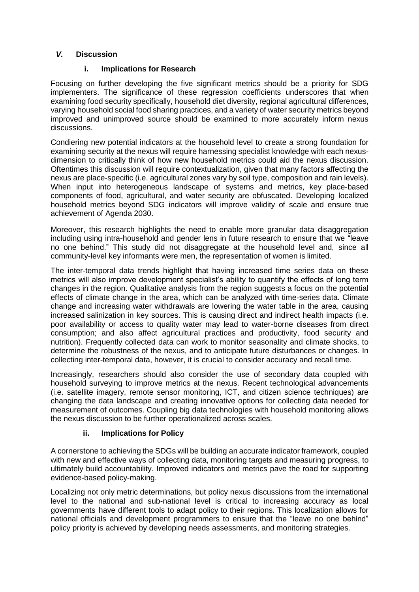## *V.* **Discussion**

### **i. Implications for Research**

Focusing on further developing the five significant metrics should be a priority for SDG implementers. The significance of these regression coefficients underscores that when examining food security specifically, household diet diversity, regional agricultural differences, varying household social food sharing practices, and a variety of water security metrics beyond improved and unimproved source should be examined to more accurately inform nexus discussions.

Condiering new potential indicators at the household level to create a strong foundation for examining security at the nexus will require harnessing specialist knowledge with each nexusdimension to critically think of how new household metrics could aid the nexus discussion. Oftentimes this discussion will require contextualization, given that many factors affecting the nexus are place-specific (i.e. agricultural zones vary by soil type, composition and rain levels). When input into heterogeneous landscape of systems and metrics, key place-based components of food, agricultural, and water security are obfuscated. Developing localized household metrics beyond SDG indicators will improve validity of scale and ensure true achievement of Agenda 2030.

Moreover, this research highlights the need to enable more granular data disaggregation including using intra-household and gender lens in future research to ensure that we "leave no one behind." This study did not disaggregate at the household level and, since all community-level key informants were men, the representation of women is limited.

The inter-temporal data trends highlight that having increased time series data on these metrics will also improve development specialist's ability to quantify the effects of long term changes in the region. Qualitative analysis from the region suggests a focus on the potential effects of climate change in the area, which can be analyzed with time-series data. Climate change and increasing water withdrawals are lowering the water table in the area, causing increased salinization in key sources. This is causing direct and indirect health impacts (i.e. poor availability or access to quality water may lead to water-borne diseases from direct consumption; and also affect agricultural practices and productivity, food security and nutrition). Frequently collected data can work to monitor seasonality and climate shocks, to determine the robustness of the nexus, and to anticipate future disturbances or changes. In collecting inter-temporal data, however, it is crucial to consider accuracy and recall time.

Increasingly, researchers should also consider the use of secondary data coupled with household surveying to improve metrics at the nexus. Recent technological advancements (i.e. satellite imagery, remote sensor monitoring, ICT, and citizen science techniques) are changing the data landscape and creating innovative options for collecting data needed for measurement of outcomes. Coupling big data technologies with household monitoring allows the nexus discussion to be further operationalized across scales.

# **ii. Implications for Policy**

A cornerstone to achieving the SDGs will be building an accurate indicator framework, coupled with new and effective ways of collecting data, monitoring targets and measuring progress, to ultimately build accountability. Improved indicators and metrics pave the road for supporting evidence-based policy-making.

Localizing not only metric determinations, but policy nexus discussions from the international level to the national and sub-national level is critical to increasing accuracy as local governments have different tools to adapt policy to their regions. This localization allows for national officials and development programmers to ensure that the "leave no one behind" policy priority is achieved by developing needs assessments, and monitoring strategies.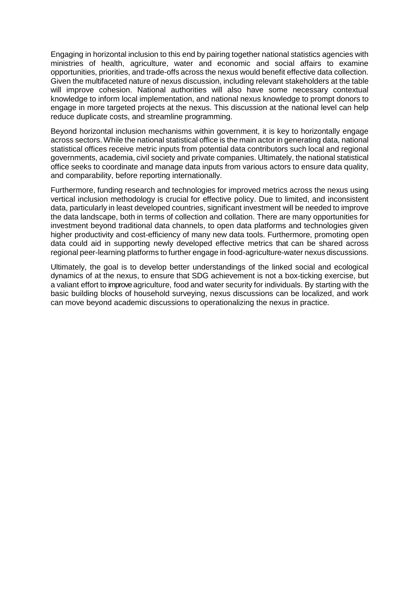Engaging in horizontal inclusion to this end by pairing together national statistics agencies with ministries of health, agriculture, water and economic and social affairs to examine opportunities, priorities, and trade-offs across the nexus would benefit effective data collection. Given the multifaceted nature of nexus discussion, including relevant stakeholders at the table will improve cohesion. National authorities will also have some necessary contextual knowledge to inform local implementation, and national nexus knowledge to prompt donors to engage in more targeted projects at the nexus. This discussion at the national level can help reduce duplicate costs, and streamline programming.

Beyond horizontal inclusion mechanisms within government, it is key to horizontally engage across sectors. While the national statistical office is the main actor in generating data, national statistical offices receive metric inputs from potential data contributors such local and regional governments, academia, civil society and private companies. Ultimately, the national statistical office seeks to coordinate and manage data inputs from various actors to ensure data quality, and comparability, before reporting internationally.

Furthermore, funding research and technologies for improved metrics across the nexus using vertical inclusion methodology is crucial for effective policy. Due to limited, and inconsistent data, particularly in least developed countries, significant investment will be needed to improve the data landscape, both in terms of collection and collation. There are many opportunities for investment beyond traditional data channels, to open data platforms and technologies given higher productivity and cost-efficiency of many new data tools. Furthermore, promoting open data could aid in supporting newly developed effective metrics that can be shared across regional peer-learning platforms to further engage in food-agriculture-water nexus discussions.

Ultimately, the goal is to develop better understandings of the linked social and ecological dynamics of at the nexus, to ensure that SDG achievement is not a box-ticking exercise, but a valiant effort to improve agriculture, food and water security for individuals. By starting with the basic building blocks of household surveying, nexus discussions can be localized, and work can move beyond academic discussions to operationalizing the nexus in practice.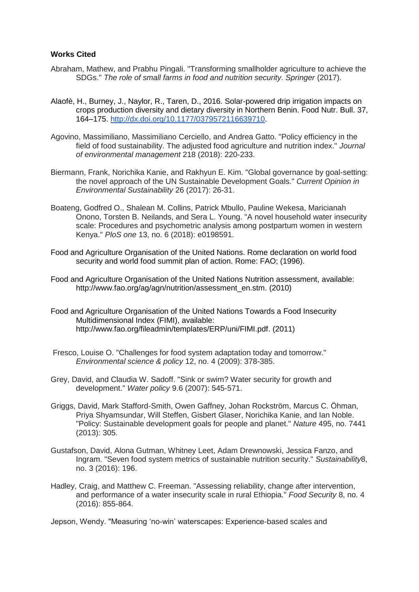#### **Works Cited**

- Abraham, Mathew, and Prabhu Pingali. "Transforming smallholder agriculture to achieve the SDGs." The role of small farms in food and nutrition security. Springer (2017).
- Alaofè, H., Burney, J., Naylor, R., Taren, D., 2016. Solar-powered drip irrigation impacts on crops production diversity and dietary diversity in Northern Benin. Food Nutr. Bull. 37, 164–175. [http://dx.doi.org/10.1177/0379572116639710.](http://dx.doi.org/10.1177/0379572116639710)
- Agovino, Massimiliano, Massimiliano Cerciello, and Andrea Gatto. "Policy efficiency in the field of food sustainability. The adjusted food agriculture and nutrition index." *Journal of environmental management* 218 (2018): 220-233.
- Biermann, Frank, Norichika Kanie, and Rakhyun E. Kim. "Global governance by goal-setting: the novel approach of the UN Sustainable Development Goals." *Current Opinion in Environmental Sustainability* 26 (2017): 26-31.
- Boateng, Godfred O., Shalean M. Collins, Patrick Mbullo, Pauline Wekesa, Maricianah Onono, Torsten B. Neilands, and Sera L. Young. "A novel household water insecurity scale: Procedures and psychometric analysis among postpartum women in western Kenya." *PloS one* 13, no. 6 (2018): e0198591.
- Food and Agriculture Organisation of the United Nations. Rome declaration on world food security and world food summit plan of action. Rome: FAO; (1996).
- Food and Agriculture Organisation of the United Nations Nutrition assessment, available: [http://www.fao.org/ag/agn/nutrition/assessment\\_en.stm.](http://www.fao.org/ag/agn/nutrition/assessment_en.stm) (2010)
- Food and Agriculture Organisation of the United Nations Towards a Food Insecurity Multidimensional Index (FIMI), available: [http://www.fao.org/fileadmin/templates/ERP/uni/FIMI.pdf.](http://www.fao.org/fileadmin/templates/ERP/uni/FIMI.pdf) (2011)
- Fresco, Louise O. "Challenges for food system adaptation today and tomorrow." *Environmental science & policy* 12, no. 4 (2009): 378-385.
- Grey, David, and Claudia W. Sadoff. "Sink or swim? Water security for growth and development." *Water policy* 9.6 (2007): 545-571.
- Griggs, David, Mark Stafford-Smith, Owen Gaffney, Johan Rockström, Marcus C. Öhman, Priya Shyamsundar, Will Steffen, Gisbert Glaser, Norichika Kanie, and Ian Noble. "Policy: Sustainable development goals for people and planet." *Nature* 495, no. 7441 (2013): 305.
- Gustafson, David, Alona Gutman, Whitney Leet, Adam Drewnowski, Jessica Fanzo, and Ingram. "Seven food system metrics of sustainable nutrition security." *Sustainability*8, no. 3 (2016): 196.
- Hadley, Craig, and Matthew C. Freeman. "Assessing reliability, change after intervention, and performance of a water insecurity scale in rural Ethiopia." *Food Security* 8, no. 4 (2016): 855-864.

Jepson, Wendy. "Measuring 'no-win' waterscapes: Experience-based scales and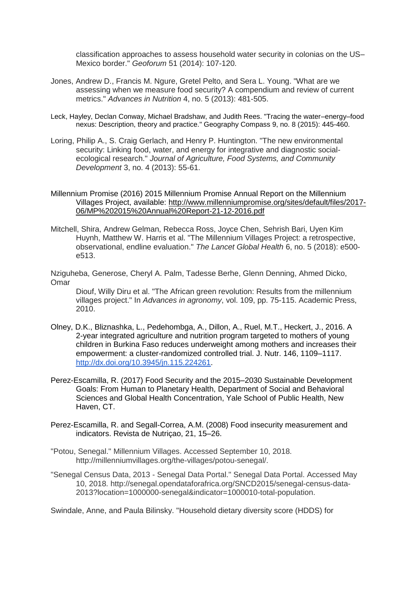classification approaches to assess household water security in colonias on the US– Mexico border." *Geoforum* 51 (2014): 107-120.

- Jones, Andrew D., Francis M. Ngure, Gretel Pelto, and Sera L. Young. "What are we assessing when we measure food security? A compendium and review of current metrics." *Advances in Nutrition* 4, no. 5 (2013): 481-505.
- Leck, Hayley, Declan Conway, Michael Bradshaw, and Judith Rees. "Tracing the water–energy–food nexus: Description, theory and practice." Geography Compass 9, no. 8 (2015): 445-460.
- Loring, Philip A., S. Craig Gerlach, and Henry P. Huntington. "The new environmental security: Linking food, water, and energy for integrative and diagnostic socialecological research." *Journal of Agriculture, Food Systems, and Community Development* 3, no. 4 (2013): 55-61.
- Millennium Promise (2016) 2015 Millennium Promise Annual Report on the Millennium Villages Project, available: [http://www.millenniumpromise.org/sites/default/files/2017-](http://www.millenniumpromise.org/sites/default/files/2017-06/MP%202015%20Annual%20Report-21-12-2016.pdf) [06/MP%202015%20Annual%20Report-21-12-2016.pdf](http://www.millenniumpromise.org/sites/default/files/2017-06/MP%202015%20Annual%20Report-21-12-2016.pdf)
- Mitchell, Shira, Andrew Gelman, Rebecca Ross, Joyce Chen, Sehrish Bari, Uyen Kim Huynh, Matthew W. Harris et al. "The Millennium Villages Project: a retrospective, observational, endline evaluation." *The Lancet Global Health* 6, no. 5 (2018): e500 e513.
- Nziguheba, Generose, Cheryl A. Palm, Tadesse Berhe, Glenn Denning, Ahmed Dicko, Omar

Diouf, Willy Diru et al. "The African green revolution: Results from the millennium villages project." In *Advances in agronomy*, vol. 109, pp. 75-115. Academic Press, 2010.

- Olney, D.K., Bliznashka, L., Pedehombga, A., Dillon, A., Ruel, M.T., Heckert, J., 2016. A 2-year integrated agriculture and nutrition program targeted to mothers of young children in Burkina Faso reduces underweight among mothers and increases their empowerment: a cluster-randomized controlled trial. J. Nutr. 146, 1109–111[7.](http://dx.doi.org/10.3945/jn.115.224261) [http://dx.doi.org/10.3945/jn.115.224261.](http://dx.doi.org/10.3945/jn.115.224261)
- Perez-Escamilla, R. (2017) Food Security and the 2015–2030 Sustainable Development Goals: From Human to Planetary Health, Department of Social and Behavioral Sciences and Global Health Concentration, Yale School of Public Health, New Haven, CT.
- Perez-Escamilla, R. and Segall-Correa, A.M. (2008) Food insecurity measurement and indicators. Revista de Nutriçao, 21, 15–26.
- "Potou, Senegal." Millennium Villages. Accessed September 10, 2018. http://millenniumvillages.org/the-villages/potou-senegal/.
- "Senegal Census Data, 2013 Senegal Data Portal." Senegal Data Portal. Accessed May 10, 2018.<http://senegal.opendataforafrica.org/SNCD2015/senegal-census-data->2013?location=1000000-senegal&indicator=1000010-total-population.

Swindale, Anne, and Paula Bilinsky. "Household dietary diversity score (HDDS) for